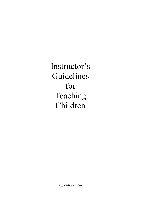Instructor's Guidelines for Teaching Children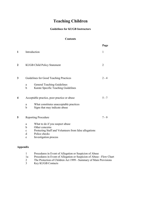# **Teaching Children**

### **Guidelines for KUGB Instructors**

### **Contents**

|                         |                                                                                                                                                                                                                        | Page           |
|-------------------------|------------------------------------------------------------------------------------------------------------------------------------------------------------------------------------------------------------------------|----------------|
| 1                       | Introduction                                                                                                                                                                                                           | $\mathbf{1}$   |
| $\overline{2}$          | <b>KUGB Child Policy Statement</b>                                                                                                                                                                                     | $\overline{2}$ |
| 3                       | Guidelines for Good Teaching Practices<br><b>General Teaching Guidelines</b><br>a<br>Karate Specific Teaching Guidelines<br>b                                                                                          | $2 - 4$        |
| $\overline{\mathbf{4}}$ | Acceptable practice, poor practice or abuse<br>What constitutes unacceptable practices<br>$\mathbf{a}$<br>$\mathbf b$<br>Signs that may indicate abuse                                                                 | $5 - 7$        |
| 5                       | <b>Reporting Procedure</b><br>What to do if you suspect abuse<br>a<br>b<br>Other concerns<br>Protecting Staff and Volunteers from false allegations<br>$\mathbf c$<br>Police checks<br>d<br>Investigation process<br>e | $7 - 9$        |
|                         |                                                                                                                                                                                                                        |                |

# **Appendix**

| Procedures in Event of Allegation or Suspicion of Abuse                                                                                                                                                                                                                                                                            |
|------------------------------------------------------------------------------------------------------------------------------------------------------------------------------------------------------------------------------------------------------------------------------------------------------------------------------------|
| Procedures in Event of Allegation or Suspicion of Abuse - Flow Chart                                                                                                                                                                                                                                                               |
| $\mathbf{D}$ $\mathbf{A}$ $\mathbf{C}$ $\mathbf{C}$ $\mathbf{C}$ $\mathbf{C}$ $\mathbf{A}$ $\mathbf{A}$ $\mathbf{A}$ $\mathbf{A}$ $\mathbf{C}$ $\mathbf{C}$ $\mathbf{C}$ $\mathbf{C}$ $\mathbf{C}$ $\mathbf{C}$ $\mathbf{C}$ $\mathbf{A}$ $\mathbf{C}$ $\mathbf{D}$ $\mathbf{C}$ $\mathbf{C}$ $\mathbf{D}$ $\mathbf{C}$ $\mathbf{$ |

- 2 The Protection of Children Act 1999 Summary of Main Provisions
- 2 The Protection of Chi<br>3 Key KUGB Contacts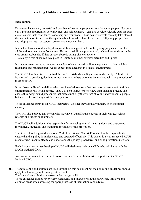#### **1 Introduction**

 Karate can have a very powerful and positive influence on people, especially young people. Not only can it provide opportunities for enjoyment and achievement, it can also develop valuable qualities such as self-esteem, self-confidence, leadership and teamwork. These positive effects can only take place if the instruction of Karate is in the right hands - those who place the welfare of all young people first and adopt practices that support, protect and empower them.

 Instructors have a moral and legal responsibility to support and care for young people and disabled adults and to protect them from abuse. This responsibility applies not only while these students on the club premises, but also if they suspect abuse is taking place elsewhere. The reality is that abuse can take place in Karate as in other physical activities and Sports.

 Instructors are expected to demonstrate a duty of care towards children, equivalent to that which a reasonable and prudent parent would expect from a teacher in a school environment.

 The KUGB has therefore recognised the need to establish a policy to ensure the safety of children in its care and to provide guidelines to Instructors and others who may be involved with the protection of these children.

 It has also established guidelines which are intended to ensure that Instructors create a safer training environment for all young people. They will help Instructors to review their teaching practice and ensure they adopt sound procedures that protect not only the welfare of young and vulnerable people, but also the Instructor against false allegations.

 These guidelines apply to all KUGB Instructors, whether they act in a voluntary or professional capacity.

 They will also apply to any person who may have young Karate students in their charge, such as referees and judges or examiners.

 The KUGB will additionally be responsible for managing internal investigations, and overseeing recruitment, induction, and training in the field of child protection.

 The KUGB has designated a National Child Protection Officer (CPO) who has the responsibility to ensure that this policy is implemented and operated effectively. This person is a well respected KUGB member who is committed to and understands the policy, procedures, and child protection in general.

 Each Association in membership of KUGB will designate their own CPO, who will liaise with the KUGB National CPO.

 Any arrest or conviction relating to an offense involving a child must be reported to the KUGB National CPO.

**nb:** The terms child and children are used throughout this document but the policy and guidelines should apply to all young people taking part in Karate.

The law defines a child as a person under the age of 18.

 These guidelines cannot cover every eventuality and Instructors should always use initiative and common sense when assessing the appropriateness of their actions and advice.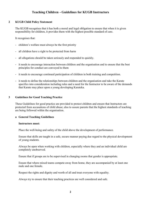### **2 KUGB Child Policy Statement**

 The KUGB recognises that it has both a moral and legal obligation to ensure that when it is given responsibility for children, it provides them with the highest possible standard of care.

It recognises that:

- children's welfare must always be the first priority
- all children have a right to be protected from harm
- all allegations should be taken seriously and responded to quickly.
- it needs to encourage interaction between children and the organisation and to ensure that the best principles for conduct are conveyed to them
- it needs to encourage continued participation of children in both training and competition.
- it needs to define the relationships between children and the organisation and take the Karate specifics into consideration including rules and a need for the Instructor to be aware of the demands that Karate may place upon a young developing Karateka.

### **3 Guidelines for Good Teaching Practice**

 These Guidelines for good practice are provided to protect children and ensure that Instructors are protected from accusations of child abuse; also to assure parents that the highest standards of teaching are being followed within the organisation.

#### **a General Teaching Guidelines**

#### **Instructors must:**

Place the well-being and safety of the child above the development of performance.

 Ensure that skills are taught in a safe, secure manner paying due regard to the physical development of young students.

 Always be open when working with children, especially where they and an individual child are completely unobserved.

Ensure that if groups are to be supervised in changing rooms that gender is appropriate.

 Ensure that where mixed teams compete away from home, they are accompanied by at least one male and one female.

Respect the rights and dignity and worth of all and treat everyone with equality.

Always try to ensure that their teaching practices are well considered and safe.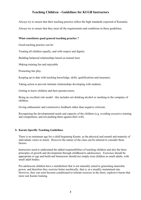Always try to ensure that their teaching practice reflect the high standards expected of Karateka. Always try to ensure that they meet all the requirements and conditions in these guidelines.

### **What constitutes good general teaching practice ?**

Good teaching practice can be:

Treating all children equally, and with respect and dignity.

Building balanced relationships based on mutual trust.

Making training fun and enjoyable

Promoting fair play.

Keeping up to date with teaching knowledge, skills, qualifications and insurance.

Taking action to prevent intimate relationships developing with students.

Getting to know children and their parents/carers.

 Being an excellent role model - this includes not drinking alcohol or smoking in the company of children.

Giving enthusiastic and constructive feedback rather than negative criticism.

 Recognising the developmental needs and capacity of the children (e.g. avoiding excessive training and competition, and not pushing them against their will).

### **b Karate-Specific Teaching Guidelines**

 There is no minimum age for a child beginning Karate, as the physical and mental and maturity of individuals varies so much. However the nature of the class can be tailored to consider these factors.

 Instructors need to understand the added responsibilities of teaching children and also the basic principles of growth and development through childhood to adolescence. Exercises should be appropriate to age and build and Instructors should not simply treat children as small adults, with small adult bodies.

 Pre-adolescent children have a metabolism that is not naturally suited to generating anaerobic power, and therefore they exercise better aerobically, that is, at a steadily maintained rate. However, they can soon become conditioned to tolerate exercise in the short, explosive bursts that more suit Karate training.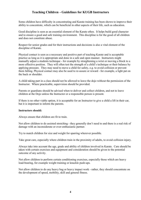Some children have difficulty in concentrating and Karate training has been shown to improve their ability to concentrate, which can be beneficial in other aspects of their life, such as education.

 Good discipline is seen as an essential element of the Karate ethos. It helps build good character and to ensure a good and safe training environment. This discipline is for the good of all children and does not constitute abuse.

 Respect for senior grades and for their instructions and decisions is also a vital element of the discipline of Karate.

 Physical contact is seen as a necessary and positive part of teaching Karate and is acceptable practice as long as it is appropriate and done in a safe and open manner. Instructors might manually adjust a students technique - for example by straightening a wrist or moving a block to a more effective position. They will often test the strength of a child's technique or their balance by applying pressure. They may need to move a child for safety, e.g. to avoid collision or prevent them falling. Physical contact may also be used to re-assure or reward - for example, a light pat on the back or shoulder.

 A child taking part in a class should not be allowed to leave the dojo without the permission of the Instructor. Where practicable, supervision should be provided.

 Parents or guardians should be advised when to deliver and collect children, and not to leave children at the Dojo unless the Instructor or a responsible person is present.

 If there is no other viable option, it is acceptable for an Instructor to give a child a lift in their car, but it is important to inform the parents.

#### **Instructors should:**

Always ensure that children are fit to train.

 Not allow children to do assisted stretching - they generally don't need to and there is a real risk of damage with an inconsiderate or over-enthusiastic partner.

Try to match children for size and weight for sparring wherever possible.

Take great care, especially where children train in the proximity of adults, to avoid collision injury.

 Always take into account the age, grade and ability of children involved in Karate. Care should be taken with certain exercises and equipment and consideration should be given to the potential outcome of any activity.

 Not allow children to perform certain conditioning exercises, especially those which are heavy load-bearing, for example weight training or knuckle push-ups.

 Not allow children to do any heavy bag or heavy impact work - rather, they should concentrate on the development of speed, mobility, skill and general fitness.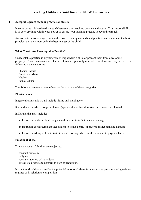#### **4 Acceptable practice, poor practice or abuse?**

 In some cases it is hard to distinguish between poor teaching practice and abuse. Your responsibility is to do everything within your power to ensure your teaching practice is beyond reproach.

 An Instructor must always examine their own teaching methods and practices and remember the basic principal that they must be in the best interest of the child.

#### **What Constitutes Unacceptable Practice?**

 Unacceptable practice is anything which might harm a child or prevent them from developing properly. Those practices which harm children are generally referred to as abuse and they fall in to the following main categories.

 Physical Abuse Emotional Abuse Neglect Sexual Abuse

The following are more comprehensive descriptions of these categories.

#### **Physical abuse**

In general terms, this would include hitting and shaking etc

It would also be where drugs or alcohol (specifically with children) are advocated or tolerated.

In Karate, this may include:

an Instructor deliberately striking a child in order to inflict pain and damage

an Instructor encouraging another student to strike a child in order to inflict pain and damage

an Instructor asking a child to train in a reckless way which is likely to lead to physical harm

#### **Emotional abuse**

This may occur if children are subject to:

 constant criticism bullying constant taunting of individuals unrealistic pressure to perform to high expectations.

 Instructors should also consider the potential emotional abuse from excessive pressure during training regimes or in relation to competition.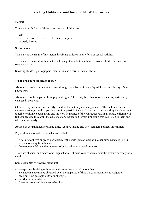### **Neglect**

This may result from a failure to ensure that children are:

 safe free from risk of excessive cold, heat, or injury properly insured

#### **Sexual abuse**

This may be the result of Instructors involving children in any form of sexual activity.

This may be the result of Instructors allowing other adult members to involve children in any form of sexual activity.

Showing children pornographic material is also a form of sexual abuse.

#### **What signs might indicate abuse?**

 Abuse may result from various causes through the misuse of power by adults or peers in any of the above ways.

 Abuse may not be apparent from physical signs. There may be behavioural indicators, particularly changes in behaviour.

 Children may tell someone directly or indirectly that they are being abused. This will have taken enormous courage on their part because it is possible they will have been threatened by the abuser not to tell, or will have been aware and are very frightened of the consequences. In all cases, children will tell you because they want the abuse to stop, therefore it is very important that you listen to them and take them seriously.

Abuse can go unnoticed for a long time, yet have lasting and very damaging effects on children.

Physical indicators of emotional abuse include:

- A failure to thrive or grow, particularly if the child puts on weight in other circumstances (e.g. in hospital or away from home).
- Development delay, either in terms of physical or emotional progress.

 There are physical and behavioural signs that might raise your concern about the welfare or safety of a child.

Some examples of physical signs are:

- unexplained bruising or injuries and a reluctance to talk about them.
- a change in appearance observed over a long period of time ( e.g. a student losing weight or becoming increasingly dirty or unkempt).
- Self-harm or mutilation.
- Covering arms and legs even when hot.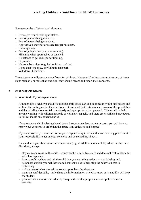Some examples of behavioural signs are:

- Excessive fear of making mistakes.
- Fear of parents being contacted.
- Fear of parents being contacted.
- Aggressive behaviour or severe temper outbursts.
- Running away.
- Fear of going home (e.g. after training).
- Flinching when approached or touched.
- Reluctance to get changed for training.
- Depression.
- Neurotic behaviour (e.g. hair twisting, rocking).
- Being unable to play, unwilling to take part.
- Withdrawn behaviour.

 These signs are indicators, not confirmation of abuse. However if an Instructor notices any of these signs regularly or more than one sign, they should record and report their concerns.

#### **5 Reporting Procedures**

#### **a What to do if you suspect abuse**

 Although it is a sensitive and difficult issue child abuse can and does occur within institutions and within other settings other than the home. It is crucial that Instructors are aware of this possibility and that all allegations are taken seriously and appropriate action pursued. This would include anyone working with children in a paid or voluntary capacity and there are established procedures to follow should any concerns arise.

 If you suspect a child is being abused by an Instructor, student, parent or carer, you will have to report your concerns in order that the abuse is investigated and stopped.

 If you are worried, remember it is not your responsibility to decide if abuse is taking place but it is your responsibility to act on your concerns and do something about it.

 If a child tells you about someone's behaviour (e.g. an adult or another child) which he/she finds disturbing, always:

- stay calm and reassure the child ensure he/she is safe, feels safe and does not feel to blame for what has happened.
- listen carefully, show and tell the child that you are taking seriously what is being said.
- be honest, explain you will have to tell someone else to help stop the behaviour that is distressing.
- make a note of what was said as soon as possible after the event.
- maintain confidentiality only share the information on a need to know basis and if it will help the student.
- gain medical attention immediately if required and if appropriate contact police or social services.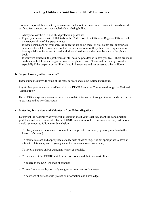It is your responsibility to act if you are concerned about the behaviour of an adult towards a child or if you feel a young person/disabled adult is being bullied:

- Always follow the KUGB's child protection guidelines.
- Report your concerns with full details to the Child Protection Officer or Regional Officer. is then the responsibility of that person to act.
- If these persons are not available, the concerns are about them, or you do not feel appropriate action has been taken, you must contact the social services or the police. Both organisations have specialist units trained to deal with these situations and their numbers are in the phone book.
- If you were abused in the past, you can still seek help to deal with how you feel. There are many confidential helplines and organisations in the phone book. Please find the courage to call especially if the perpetrator is still involved in instructing and has access to other children.

#### **b Do you have any other concerns?**

These guidelines provide some of the steps for safe and sound Karate instructing.

 Any further questions may be addressed to the KUGB Executive Committee through the National Administrator.

 The KUGB always endeavours to provide up to date information through literature and courses for its existing and its new Instructors.

### **c Protecting Instructors and Volunteers from False Allegations**

 To prevent the possibility of wrongful allegations about your teaching, adopt the good practice guidelines and advice advocated by the KUGB. In addition to the points made earlier, instructors should remember to follow the advice below:

- To always work in an open environment avoid private locations (e.g. taking children to the Instructor's home).
- To maintain a safe and appropriate distance with students (e.g. it is not appropriate to have an intimate relationship with a young student or to share a room with them).
- To involve parents and/or guardians wherever possible.
- To be aware of the KUGB's child protection policy and their responsibilities.
- To adhere to the KUGB's code of conduct.
- To avoid any horseplay, sexually suggestive comments or language.
- To be aware of current child protection information and knowledge.